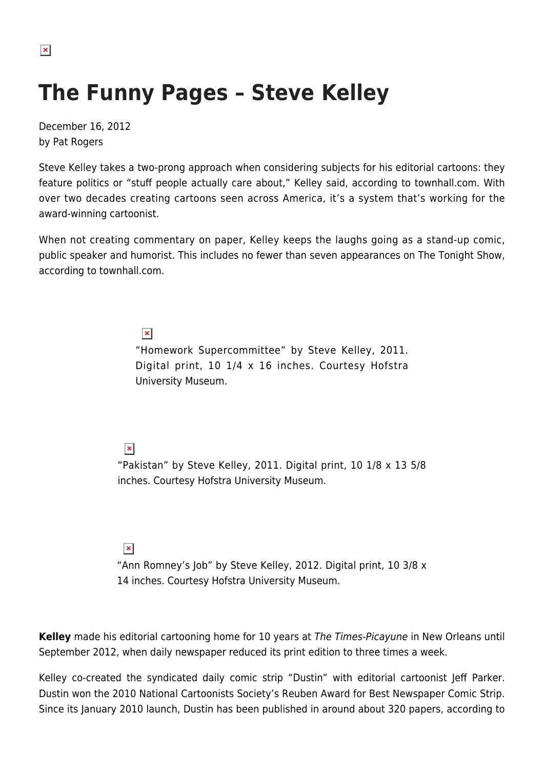$\pmb{\times}$ 

## **The Funny Pages – Steve Kelley**

December 16, 2012 by Pat Rogers

Steve Kelley takes a two-prong approach when considering subjects for his editorial cartoons: they feature politics or "stuff people actually care about," Kelley said, according to townhall.com. With over two decades creating cartoons seen across America, it's a system that's working for the award-winning cartoonist.

When not creating commentary on paper, Kelley keeps the laughs going as a stand-up comic, public speaker and humorist. This includes no fewer than seven appearances on The Tonight Show, according to townhall.com.

 $\pmb{\times}$ 

"Homework Supercommittee" by Steve Kelley, 2011. Digital print, 10 1/4 x 16 inches. Courtesy Hofstra University Museum.

## $\pmb{\times}$

"Pakistan" by Steve Kelley, 2011. Digital print, 10 1/8 x 13 5/8 inches. Courtesy Hofstra University Museum.

## $\pmb{\times}$

"Ann Romney's Job" by Steve Kelley, 2012. Digital print, 10 3/8 x 14 inches. Courtesy Hofstra University Museum.

**Kelley** made his editorial cartooning home for 10 years at The Times-Picayune in New Orleans until September 2012, when daily newspaper reduced its print edition to three times a week.

Kelley co-created the syndicated daily comic strip "Dustin" with editorial cartoonist Jeff Parker. Dustin won the 2010 National Cartoonists Society's Reuben Award for Best Newspaper Comic Strip. Since its January 2010 launch, Dustin has been published in around about 320 papers, according to